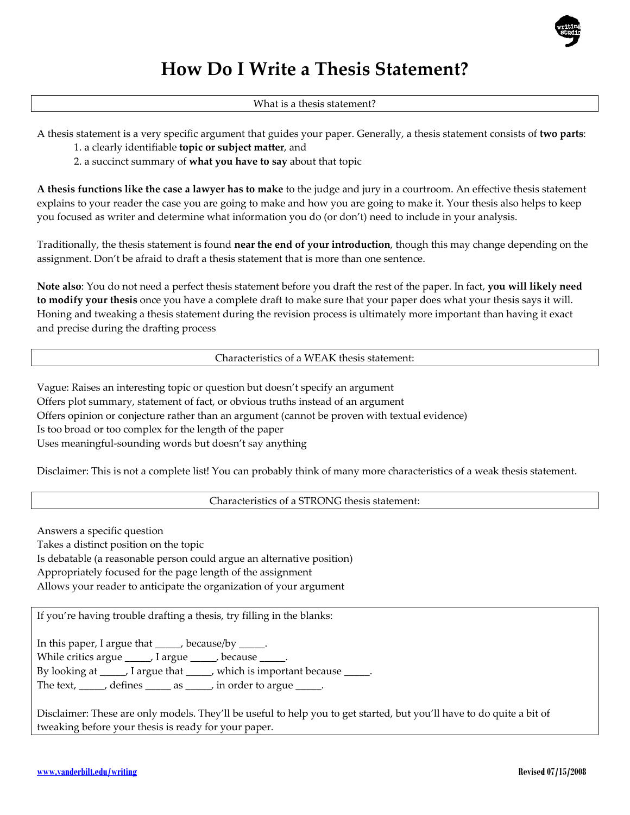

# **How Do I Write a Thesis Statement?**

What is a thesis statement?

A thesis statement is a very specific argument that guides your paper. Generally, a thesis statement consists of **two parts**:

1. a clearly identifiable **topic or subject matter**, and

2. a succinct summary of **what you have to say** about that topic

**A thesis functions like the case a lawyer has to make** to the judge and jury in a courtroom. An effective thesis statement explains to your reader the case you are going to make and how you are going to make it. Your thesis also helps to keep you focused as writer and determine what information you do (or don't) need to include in your analysis.

Traditionally, the thesis statement is found **near the end of your introduction**, though this may change depending on the assignment. Don't be afraid to draft a thesis statement that is more than one sentence.

**Note also**: You do not need a perfect thesis statement before you draft the rest of the paper. In fact, **you will likely need to modify your thesis** once you have a complete draft to make sure that your paper does what your thesis says it will. Honing and tweaking a thesis statement during the revision process is ultimately more important than having it exact and precise during the drafting process

Characteristics of a WEAK thesis statement:

Vague: Raises an interesting topic or question but doesn't specify an argument Offers plot summary, statement of fact, or obvious truths instead of an argument Offers opinion or conjecture rather than an argument (cannot be proven with textual evidence) Is too broad or too complex for the length of the paper Uses meaningful‐sounding words but doesn't say anything

Disclaimer: This is not a complete list! You can probably think of many more characteristics of a weak thesis statement.

Characteristics of a STRONG thesis statement:

Answers a specific question

Takes a distinct position on the topic Is debatable (a reasonable person could argue an alternative position) Appropriately focused for the page length of the assignment

Allows your reader to anticipate the organization of your argument

If you're having trouble drafting a thesis, try filling in the blanks:

In this paper, I argue that \_\_\_\_\_, because/by \_\_\_\_\_

While critics argue \_\_\_\_\_, I argue \_\_\_\_\_, because \_

By looking at \_\_\_\_\_, I argue that \_\_\_\_, which is important because \_\_\_\_\_.

The text, \_\_\_\_\_, defines \_\_\_\_\_\_ as \_\_\_\_\_, in order to argue \_\_\_\_

Disclaimer: These are only models. They'll be useful to help you to get started, but you'll have to do quite a bit of tweaking before your thesis is ready for your paper.